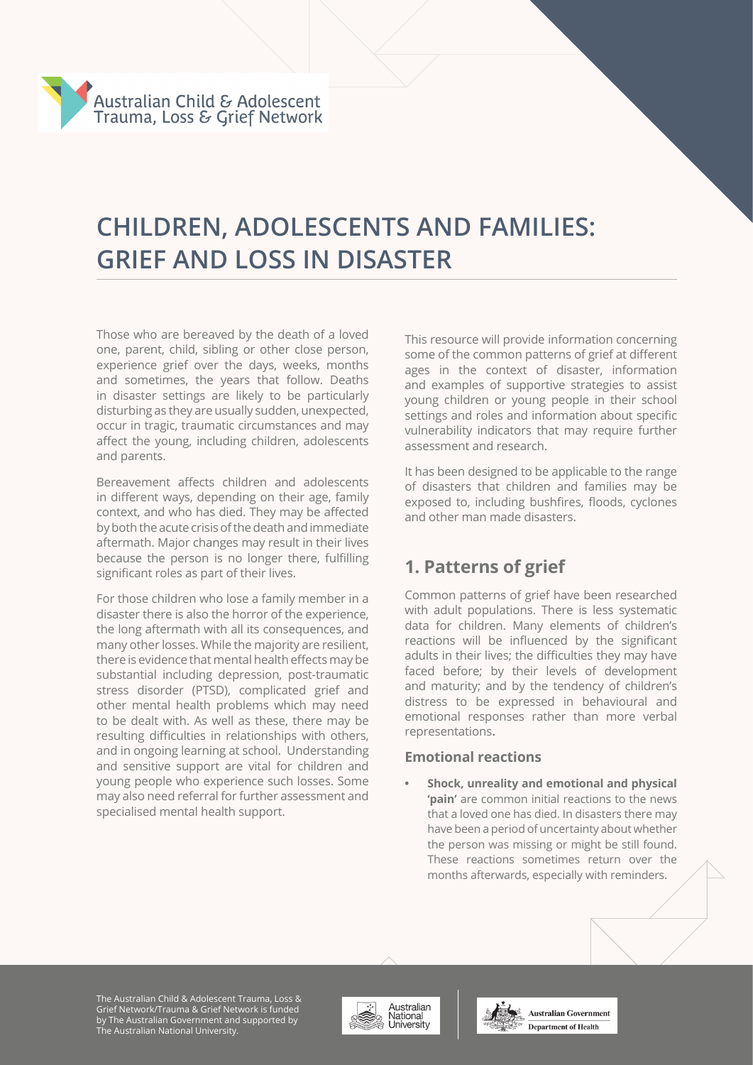Those who are bereaved by the death of a loved one, parent, child, sibling or other close person, experience grief over the days, weeks, months and sometimes, the years that follow. Deaths in disaster settings are likely to be particularly disturbing as they are usually sudden, unexpected, occur in tragic, traumatic circumstances and may affect the young, including children, adolescents and parents.

Bereavement affects children and adolescents in different ways, depending on their age, family context, and who has died. They may be affected by both the acute crisis of the death and immediate aftermath. Major changes may result in their lives because the person is no longer there, fulfilling significant roles as part of their lives.

For those children who lose a family member in a disaster there is also the horror of the experience, the long aftermath with all its consequences, and many other losses. While the majority are resilient, there is evidence that mental health effects may be substantial including depression, post-traumatic stress disorder (PTSD), complicated grief and other mental health problems which may need to be dealt with. As well as these, there may be resulting difficulties in relationships with others, and in ongoing learning at school. Understanding and sensitive support are vital for children and young people who experience such losses. Some may also need referral for further assessment and specialised mental health support.

This resource will provide information concerning some of the common patterns of grief at different ages in the context of disaster, information and examples of supportive strategies to assist young children or young people in their school settings and roles and information about specific vulnerability indicators that may require further assessment and research.

It has been designed to be applicable to the range of disasters that children and families may be exposed to, including bushfires, floods, cyclones and other man made disasters.

### **1. Patterns of grief**

Common patterns of grief have been researched with adult populations. There is less systematic data for children. Many elements of children's reactions will be influenced by the significant adults in their lives; the difficulties they may have faced before; by their levels of development and maturity; and by the tendency of children's distress to be expressed in behavioural and emotional responses rather than more verbal representations.

#### **Emotional reactions**

**• Shock, unreality and emotional and physical 'pain'** are common initial reactions to the news that a loved one has died. In disasters there may have been a period of uncertainty about whether the person was missing or might be still found. These reactions sometimes return over the months afterwards, especially with reminders.



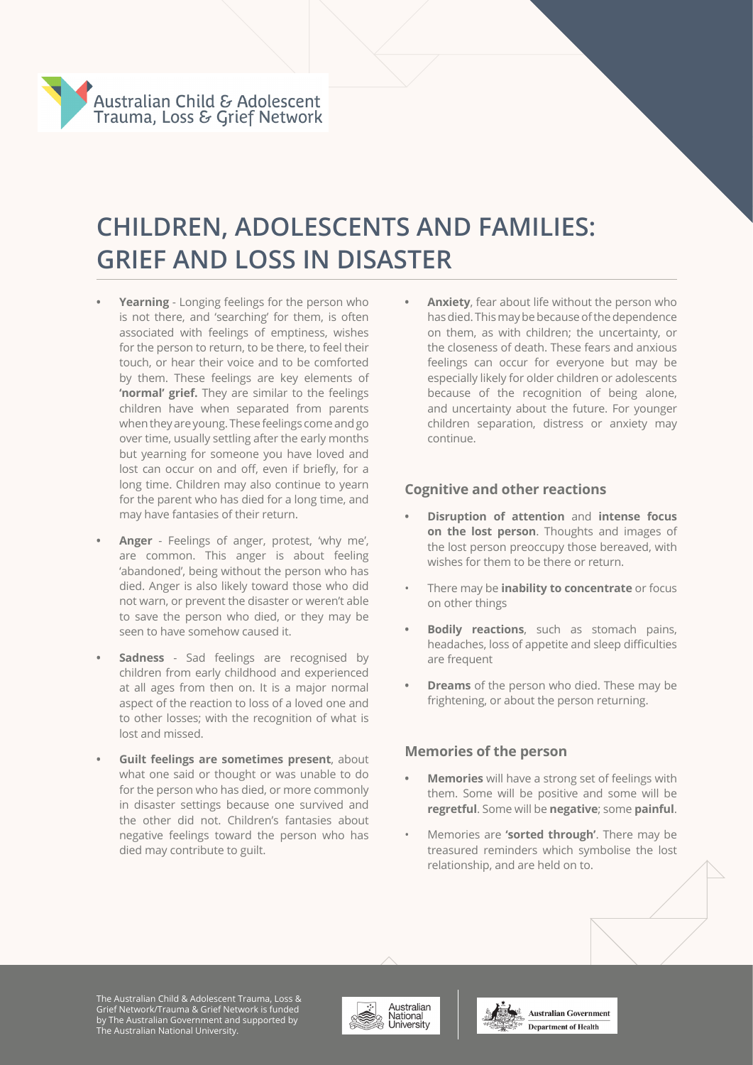- **• Yearning** Longing feelings for the person who is not there, and 'searching' for them, is often associated with feelings of emptiness, wishes for the person to return, to be there, to feel their touch, or hear their voice and to be comforted by them. These feelings are key elements of **'normal' grief.** They are similar to the feelings children have when separated from parents when they are young. These feelings come and go over time, usually settling after the early months but yearning for someone you have loved and lost can occur on and off, even if briefly, for a long time. Children may also continue to yearn for the parent who has died for a long time, and may have fantasies of their return.
- **• Anger** Feelings of anger, protest, 'why me', are common. This anger is about feeling 'abandoned', being without the person who has died. Anger is also likely toward those who did not warn, or prevent the disaster or weren't able to save the person who died, or they may be seen to have somehow caused it.
- **• Sadness** Sad feelings are recognised by children from early childhood and experienced at all ages from then on. It is a major normal aspect of the reaction to loss of a loved one and to other losses; with the recognition of what is lost and missed.
- **• Guilt feelings are sometimes present**, about what one said or thought or was unable to do for the person who has died, or more commonly in disaster settings because one survived and the other did not. Children's fantasies about negative feelings toward the person who has died may contribute to guilt.

**• Anxiety**, fear about life without the person who has died. This may be because of the dependence on them, as with children; the uncertainty, or the closeness of death. These fears and anxious feelings can occur for everyone but may be especially likely for older children or adolescents because of the recognition of being alone, and uncertainty about the future. For younger children separation, distress or anxiety may continue.

#### **Cognitive and other reactions**

- **• Disruption of attention** and **intense focus on the lost person**. Thoughts and images of the lost person preoccupy those bereaved, with wishes for them to be there or return.
- There may be **inability to concentrate** or focus on other things
- **• Bodily reactions**, such as stomach pains, headaches, loss of appetite and sleep difficulties are frequent
- **• Dreams** of the person who died. These may be frightening, or about the person returning.

#### **Memories of the person**

- **• Memories** will have a strong set of feelings with them. Some will be positive and some will be **regretful**. Some will be **negative**; some **painful**.
- Memories are **'sorted through'**. There may be treasured reminders which symbolise the lost relationship, and are held on to.



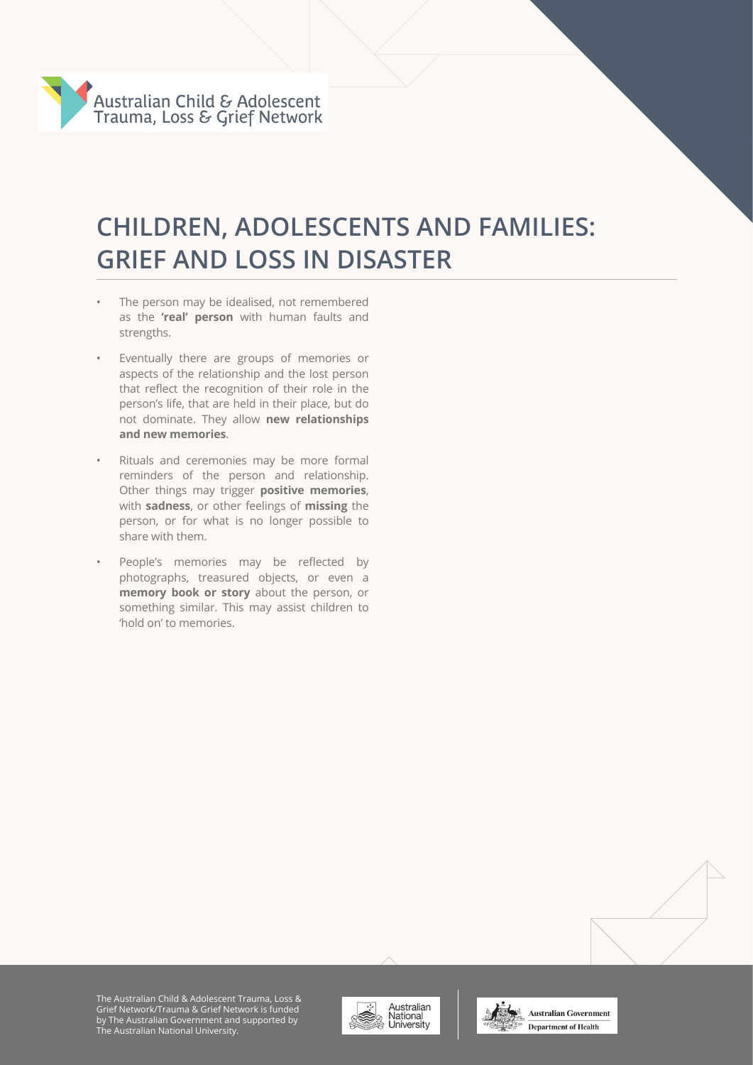

- The person may be idealised, not remembered as the **'real' person** with human faults and strengths.
- Eventually there are groups of memories or aspects of the relationship and the lost person that reflect the recognition of their role in the person's life, that are held in their place, but do not dominate. They allow **new relationships and new memories**.
- Rituals and ceremonies may be more formal reminders of the person and relationship. Other things may trigger **positive memories**, with **sadness**, or other feelings of **missing** the person, or for what is no longer possible to share with them.
- People's memories may be reflected by photographs, treasured objects, or even a **memory book or story** about the person, or something similar. This may assist children to 'hold on' to memories.





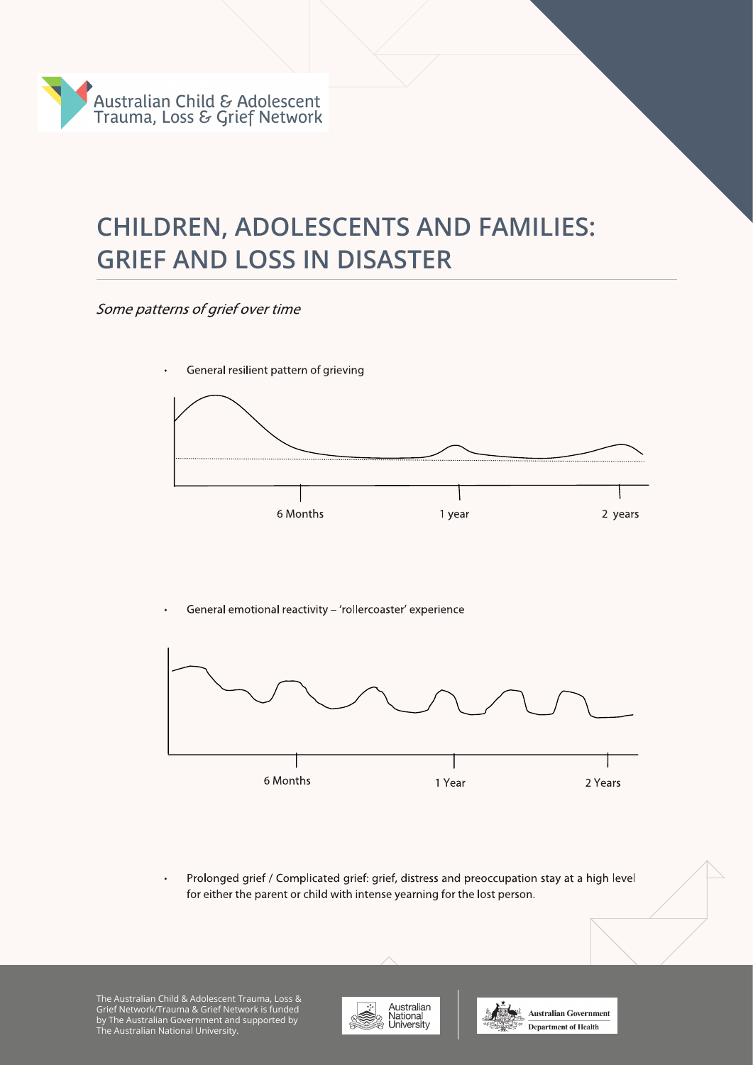

Some patterns of grief over time

General resilient pattern of grieving



General emotional reactivity - 'rollercoaster' experience



Prolonged grief / Complicated grief: grief, distress and preoccupation stay at a high level for either the parent or child with intense yearning for the lost person.



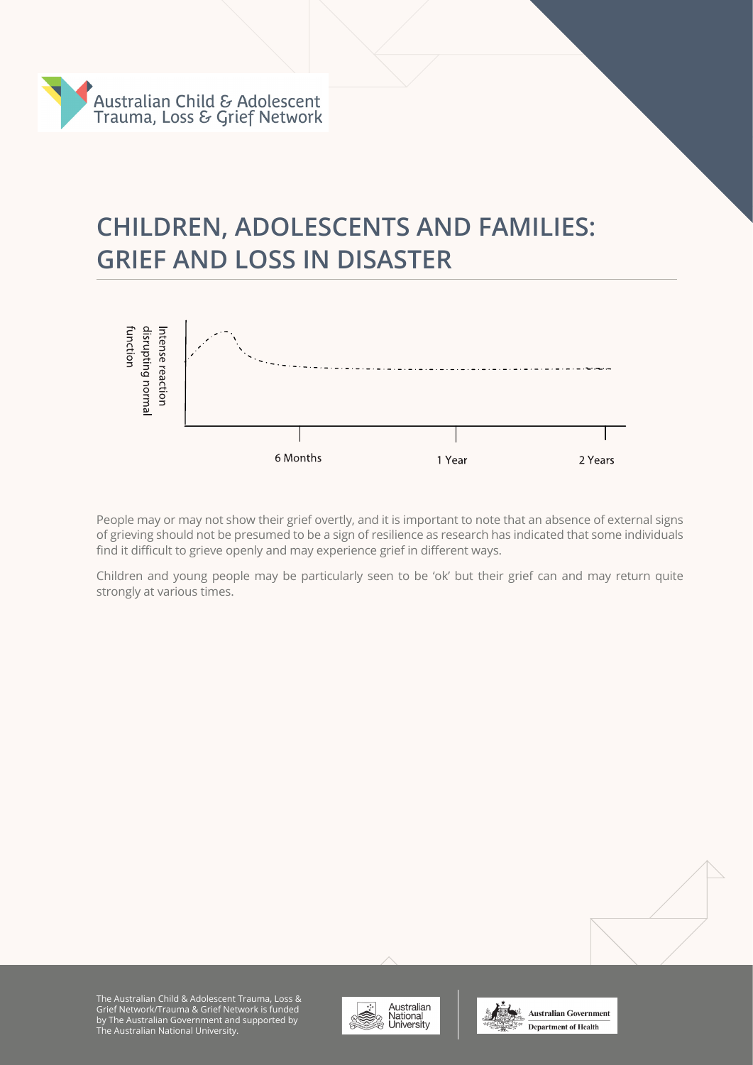



People may or may not show their grief overtly, and it is important to note that an absence of external signs of grieving should not be presumed to be a sign of resilience as research has indicated that some individuals find it difficult to grieve openly and may experience grief in different ways.

Children and young people may be particularly seen to be 'ok' but their grief can and may return quite strongly at various times.



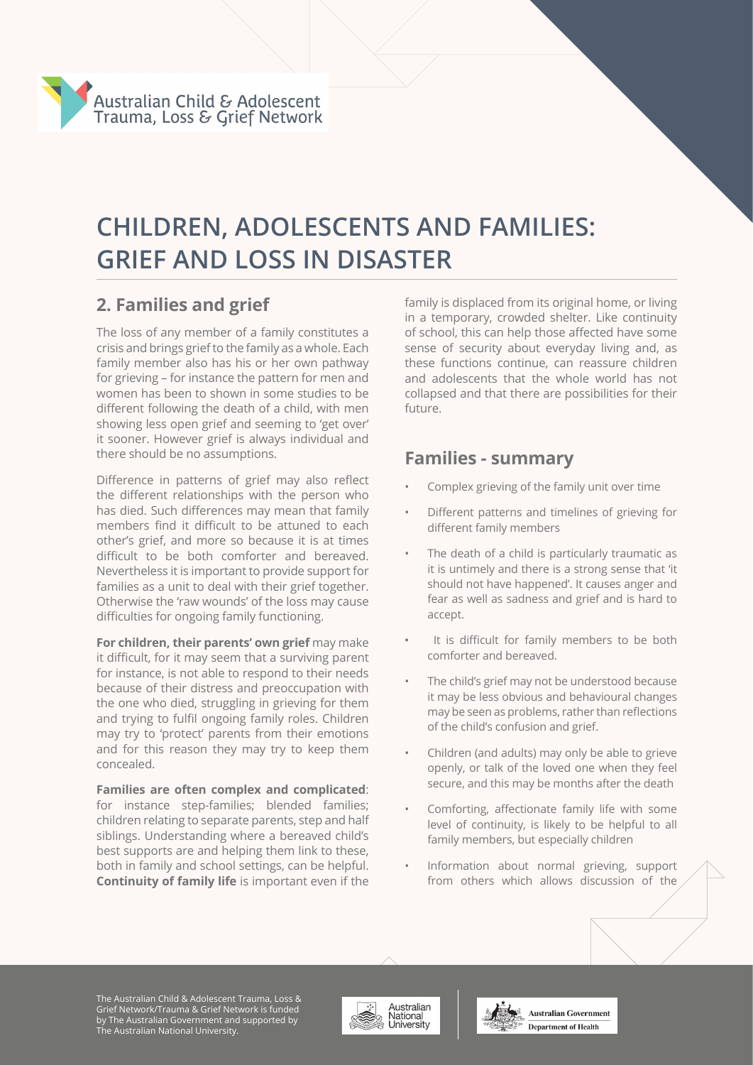### **2. Families and grief**

The loss of any member of a family constitutes a crisis and brings grief to the family as a whole. Each family member also has his or her own pathway for grieving – for instance the pattern for men and women has been to shown in some studies to be different following the death of a child, with men showing less open grief and seeming to 'get over' it sooner. However grief is always individual and there should be no assumptions.

Difference in patterns of grief may also reflect the different relationships with the person who has died. Such differences may mean that family members find it difficult to be attuned to each other's grief, and more so because it is at times difficult to be both comforter and bereaved. Nevertheless it is important to provide support for families as a unit to deal with their grief together. Otherwise the 'raw wounds' of the loss may cause difficulties for ongoing family functioning.

**For children, their parents' own grief** may make it difficult, for it may seem that a surviving parent for instance, is not able to respond to their needs because of their distress and preoccupation with the one who died, struggling in grieving for them and trying to fulfil ongoing family roles. Children may try to 'protect' parents from their emotions and for this reason they may try to keep them concealed.

**Families are often complex and complicated**: for instance step-families; blended families; children relating to separate parents, step and half siblings. Understanding where a bereaved child's best supports are and helping them link to these, both in family and school settings, can be helpful. **Continuity of family life** is important even if the family is displaced from its original home, or living in a temporary, crowded shelter. Like continuity of school, this can help those affected have some sense of security about everyday living and, as these functions continue, can reassure children and adolescents that the whole world has not collapsed and that there are possibilities for their future.

### **Families - summary**

- Complex grieving of the family unit over time
- Different patterns and timelines of grieving for different family members
- The death of a child is particularly traumatic as it is untimely and there is a strong sense that 'it should not have happened'. It causes anger and fear as well as sadness and grief and is hard to accept.
- It is difficult for family members to be both comforter and bereaved.
- The child's grief may not be understood because it may be less obvious and behavioural changes may be seen as problems, rather than reflections of the child's confusion and grief.
- Children (and adults) may only be able to grieve openly, or talk of the loved one when they feel secure, and this may be months after the death
- Comforting, affectionate family life with some level of continuity, is likely to be helpful to all family members, but especially children
- Information about normal grieving, support from others which allows discussion of the



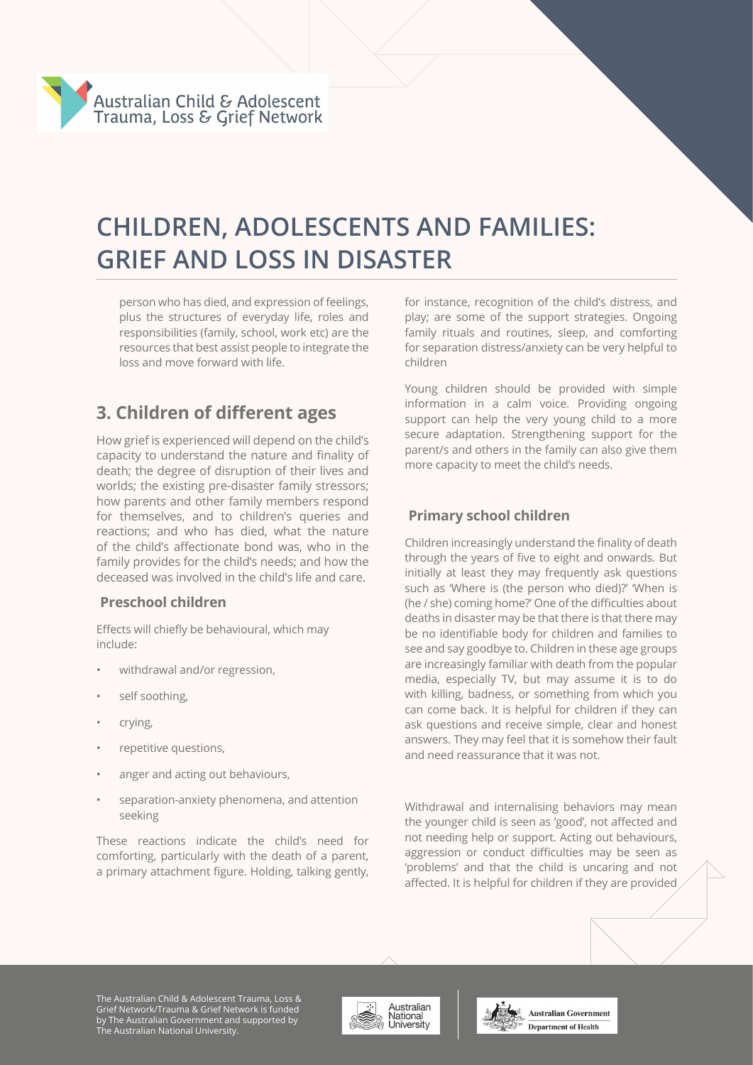person who has died, and expression of feelings, plus the structures of everyday life, roles and responsibilities (family, school, work etc) are the resources that best assist people to integrate the loss and move forward with life.

### **3. Children of different ages**

How grief is experienced will depend on the child's capacity to understand the nature and finality of death; the degree of disruption of their lives and worlds; the existing pre-disaster family stressors; how parents and other family members respond for themselves, and to children's queries and reactions; and who has died, what the nature of the child's affectionate bond was, who in the family provides for the child's needs; and how the deceased was involved in the child's life and care.

#### **Preschool children**

Effects will chiefly be behavioural, which may include:

- withdrawal and/or regression,
- self soothing,
- crying,
- repetitive questions,
- anger and acting out behaviours,
- separation-anxiety phenomena, and attention seeking

These reactions indicate the child's need for comforting, particularly with the death of a parent, a primary attachment figure. Holding, talking gently, for instance, recognition of the child's distress, and play; are some of the support strategies. Ongoing family rituals and routines, sleep, and comforting for separation distress/anxiety can be very helpful to children

Young children should be provided with simple information in a calm voice. Providing ongoing support can help the very young child to a more secure adaptation. Strengthening support for the parent/s and others in the family can also give them more capacity to meet the child's needs.

#### **Primary school children**

Children increasingly understand the finality of death through the years of five to eight and onwards. But initially at least they may frequently ask questions such as 'Where is (the person who died)?' 'When is (he / she) coming home?' One of the difficulties about deaths in disaster may be that there is that there may be no identifiable body for children and families to see and say goodbye to. Children in these age groups are increasingly familiar with death from the popular media, especially TV, but may assume it is to do with killing, badness, or something from which you can come back. It is helpful for children if they can ask questions and receive simple, clear and honest answers. They may feel that it is somehow their fault and need reassurance that it was not.

Withdrawal and internalising behaviors may mean the younger child is seen as 'good', not affected and not needing help or support. Acting out behaviours, aggression or conduct difficulties may be seen as 'problems' and that the child is uncaring and not affected. It is helpful for children if they are provided



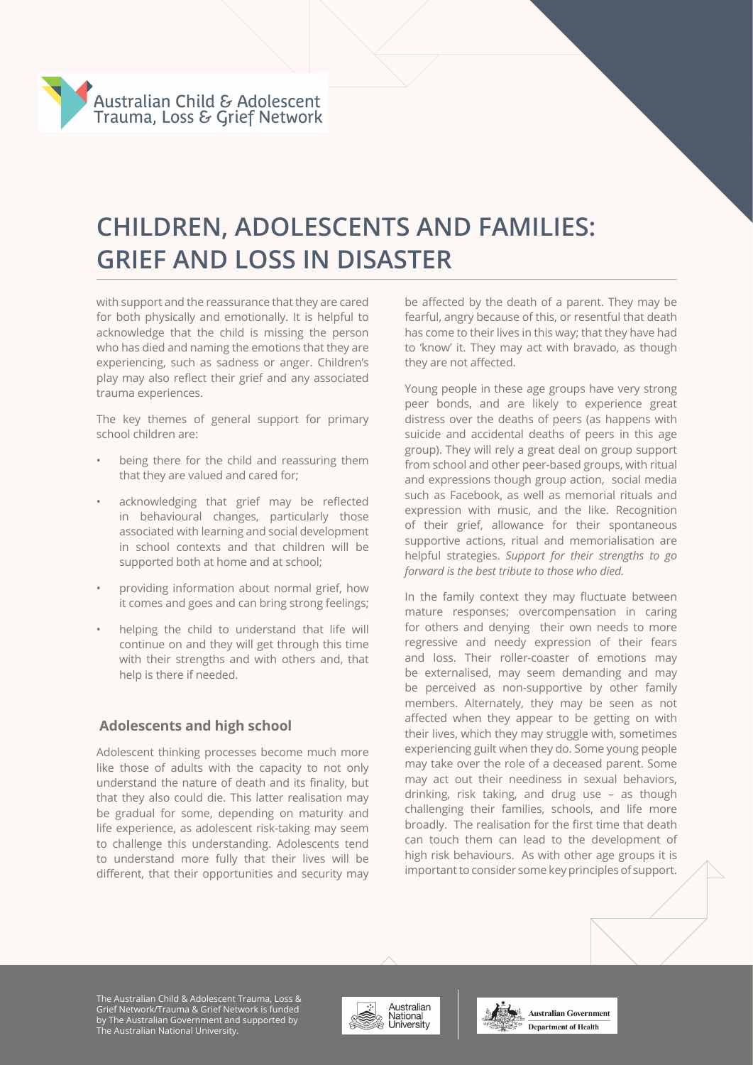with support and the reassurance that they are cared for both physically and emotionally. It is helpful to acknowledge that the child is missing the person who has died and naming the emotions that they are experiencing, such as sadness or anger. Children's play may also reflect their grief and any associated trauma experiences.

The key themes of general support for primary school children are:

- being there for the child and reassuring them that they are valued and cared for;
- acknowledging that grief may be reflected in behavioural changes, particularly those associated with learning and social development in school contexts and that children will be supported both at home and at school;
- providing information about normal grief, how it comes and goes and can bring strong feelings;
- helping the child to understand that life will continue on and they will get through this time with their strengths and with others and, that help is there if needed.

#### **Adolescents and high school**

Adolescent thinking processes become much more like those of adults with the capacity to not only understand the nature of death and its finality, but that they also could die. This latter realisation may be gradual for some, depending on maturity and life experience, as adolescent risk-taking may seem to challenge this understanding. Adolescents tend to understand more fully that their lives will be different, that their opportunities and security may be affected by the death of a parent. They may be fearful, angry because of this, or resentful that death has come to their lives in this way; that they have had to 'know' it. They may act with bravado, as though they are not affected.

Young people in these age groups have very strong peer bonds, and are likely to experience great distress over the deaths of peers (as happens with suicide and accidental deaths of peers in this age group). They will rely a great deal on group support from school and other peer-based groups, with ritual and expressions though group action, social media such as Facebook, as well as memorial rituals and expression with music, and the like. Recognition of their grief, allowance for their spontaneous supportive actions, ritual and memorialisation are helpful strategies. *Support for their strengths to go forward is the best tribute to those who died.* 

In the family context they may fluctuate between mature responses; overcompensation in caring for others and denying their own needs to more regressive and needy expression of their fears and loss. Their roller-coaster of emotions may be externalised, may seem demanding and may be perceived as non-supportive by other family members. Alternately, they may be seen as not affected when they appear to be getting on with their lives, which they may struggle with, sometimes experiencing guilt when they do. Some young people may take over the role of a deceased parent. Some may act out their neediness in sexual behaviors, drinking, risk taking, and drug use – as though challenging their families, schools, and life more broadly. The realisation for the first time that death can touch them can lead to the development of high risk behaviours. As with other age groups it is important to consider some key principles of support.



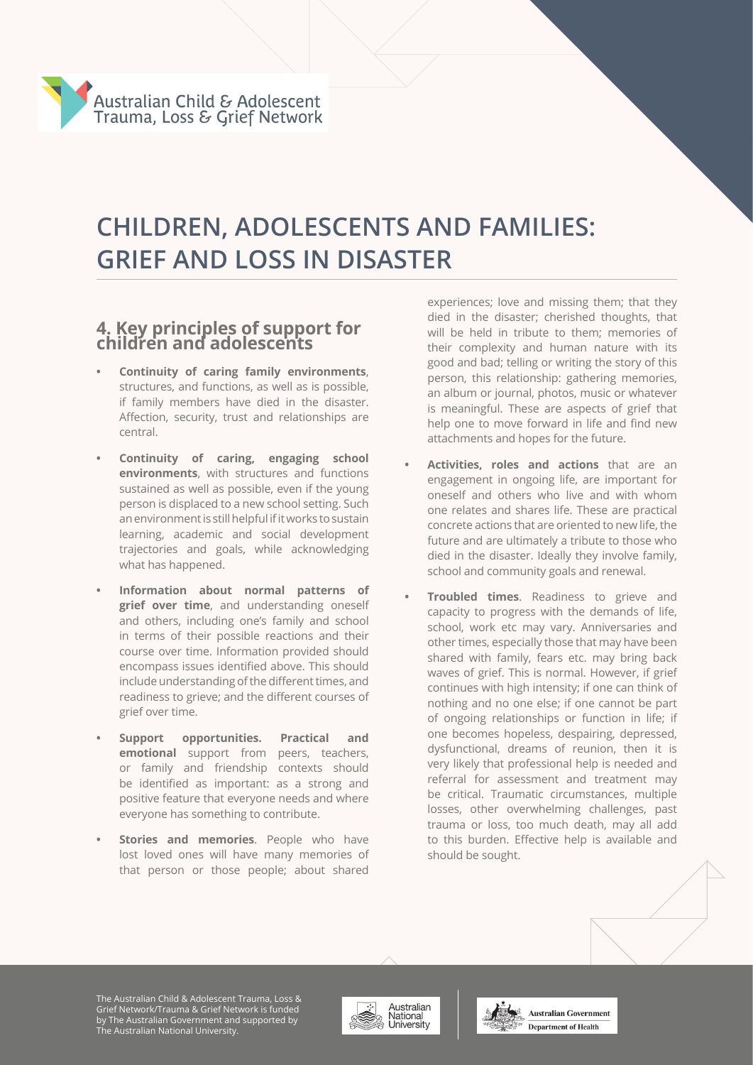### **4. Key principles of support for children and adolescents**

- **• Continuity of caring family environments**, structures, and functions, as well as is possible, if family members have died in the disaster. Affection, security, trust and relationships are central.
- **• Continuity of caring, engaging school environments**, with structures and functions sustained as well as possible, even if the young person is displaced to a new school setting. Such an environment is still helpful if it works to sustain learning, academic and social development trajectories and goals, while acknowledging what has happened.
- **• Information about normal patterns of grief over time**, and understanding oneself and others, including one's family and school in terms of their possible reactions and their course over time. Information provided should encompass issues identified above. This should include understanding of the different times, and readiness to grieve; and the different courses of grief over time.
- **• Support opportunities. Practical and emotional** support from peers, teachers, or family and friendship contexts should be identified as important: as a strong and positive feature that everyone needs and where everyone has something to contribute.
- **Stories and memories**. People who have lost loved ones will have many memories of that person or those people; about shared

experiences; love and missing them; that they died in the disaster; cherished thoughts, that will be held in tribute to them; memories of their complexity and human nature with its good and bad; telling or writing the story of this person, this relationship: gathering memories, an album or journal, photos, music or whatever is meaningful. These are aspects of grief that help one to move forward in life and find new attachments and hopes for the future.

- **• Activities, roles and actions** that are an engagement in ongoing life, are important for oneself and others who live and with whom one relates and shares life. These are practical concrete actions that are oriented to new life, the future and are ultimately a tribute to those who died in the disaster. Ideally they involve family, school and community goals and renewal.
- **• Troubled times**. Readiness to grieve and capacity to progress with the demands of life, school, work etc may vary. Anniversaries and other times, especially those that may have been shared with family, fears etc. may bring back waves of grief. This is normal. However, if grief continues with high intensity; if one can think of nothing and no one else; if one cannot be part of ongoing relationships or function in life; if one becomes hopeless, despairing, depressed, dysfunctional, dreams of reunion, then it is very likely that professional help is needed and referral for assessment and treatment may be critical. Traumatic circumstances, multiple losses, other overwhelming challenges, past trauma or loss, too much death, may all add to this burden. Effective help is available and should be sought.



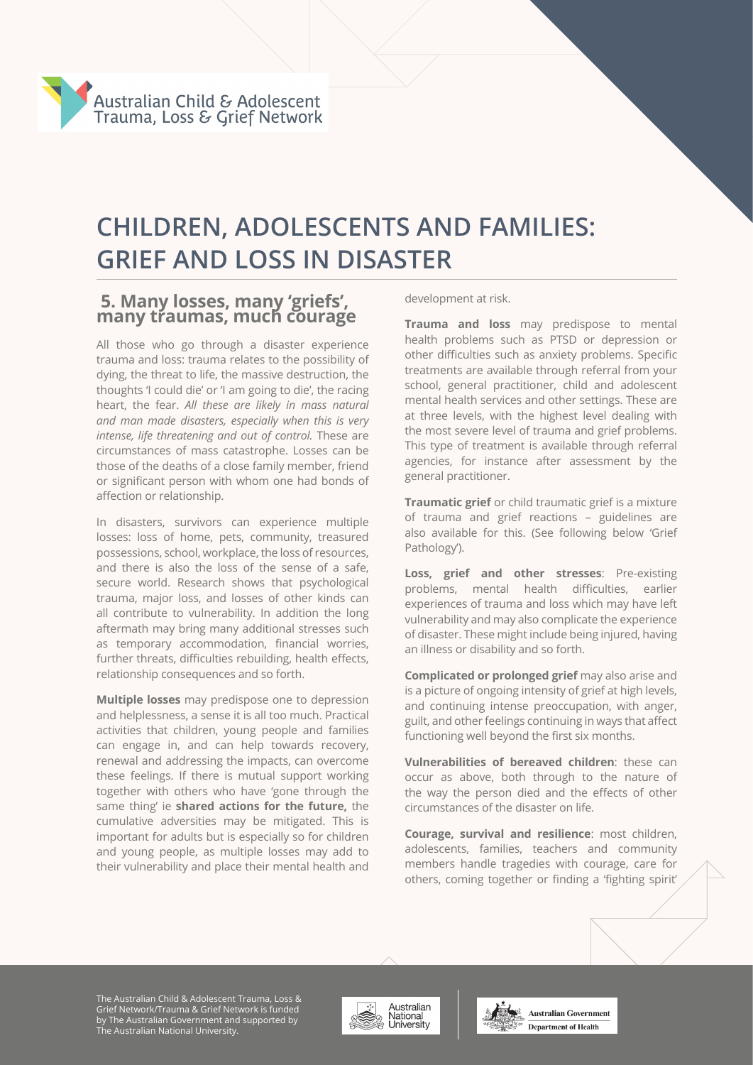### **5. Many losses, many 'griefs', many traumas, much courage**

All those who go through a disaster experience trauma and loss: trauma relates to the possibility of dying, the threat to life, the massive destruction, the thoughts 'I could die' or 'I am going to die', the racing heart, the fear. *All these are likely in mass natural and man made disasters, especially when this is very intense, life threatening and out of control.* These are circumstances of mass catastrophe. Losses can be those of the deaths of a close family member, friend or significant person with whom one had bonds of affection or relationship.

In disasters, survivors can experience multiple losses: loss of home, pets, community, treasured possessions, school, workplace, the loss of resources, and there is also the loss of the sense of a safe, secure world. Research shows that psychological trauma, major loss, and losses of other kinds can all contribute to vulnerability. In addition the long aftermath may bring many additional stresses such as temporary accommodation, financial worries, further threats, difficulties rebuilding, health effects, relationship consequences and so forth.

**Multiple losses** may predispose one to depression and helplessness, a sense it is all too much. Practical activities that children, young people and families can engage in, and can help towards recovery, renewal and addressing the impacts, can overcome these feelings. If there is mutual support working together with others who have 'gone through the same thing' ie **shared actions for the future,** the cumulative adversities may be mitigated. This is important for adults but is especially so for children and young people, as multiple losses may add to their vulnerability and place their mental health and

development at risk.

**Trauma and loss** may predispose to mental health problems such as PTSD or depression or other difficulties such as anxiety problems. Specific treatments are available through referral from your school, general practitioner, child and adolescent mental health services and other settings. These are at three levels, with the highest level dealing with the most severe level of trauma and grief problems. This type of treatment is available through referral agencies, for instance after assessment by the general practitioner.

**Traumatic grief** or child traumatic grief is a mixture of trauma and grief reactions – guidelines are also available for this. (See following below 'Grief Pathology').

**Loss, grief and other stresses**: Pre-existing problems, mental health difficulties, earlier experiences of trauma and loss which may have left vulnerability and may also complicate the experience of disaster. These might include being injured, having an illness or disability and so forth.

**Complicated or prolonged grief** may also arise and is a picture of ongoing intensity of grief at high levels, and continuing intense preoccupation, with anger, guilt, and other feelings continuing in ways that affect functioning well beyond the first six months.

**Vulnerabilities of bereaved children**: these can occur as above, both through to the nature of the way the person died and the effects of other circumstances of the disaster on life.

**Courage, survival and resilience**: most children, adolescents, families, teachers and community members handle tragedies with courage, care for others, coming together or finding a 'fighting spirit'



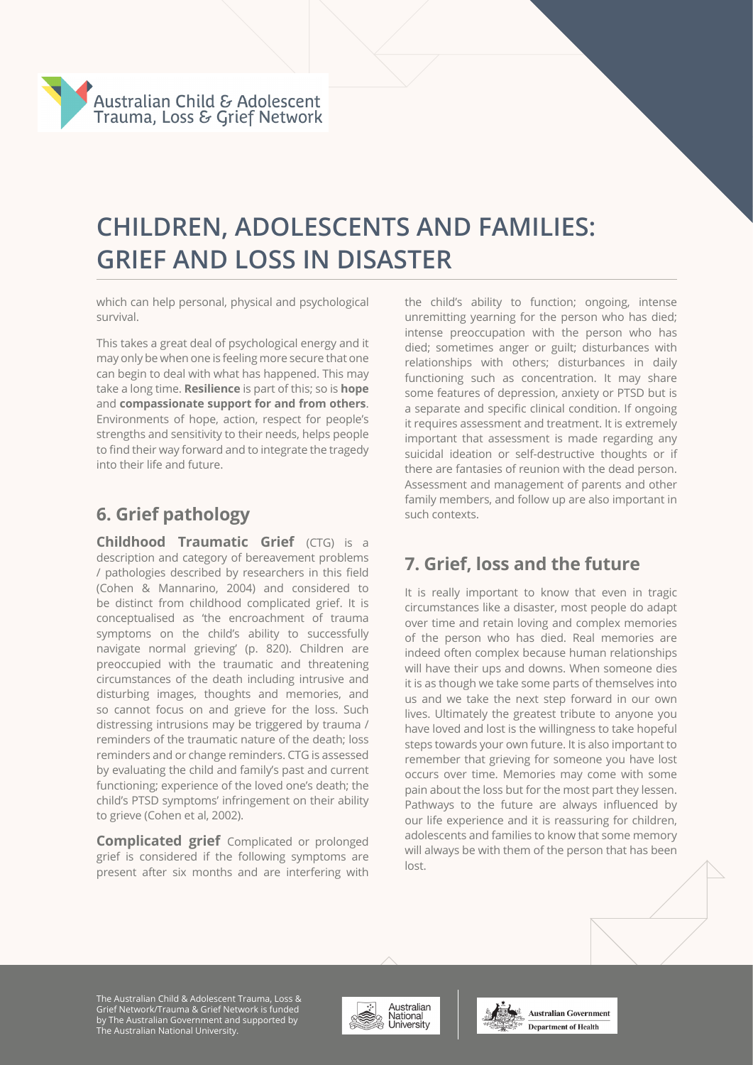which can help personal, physical and psychological survival.

This takes a great deal of psychological energy and it may only be when one is feeling more secure that one can begin to deal with what has happened. This may take a long time. **Resilience** is part of this; so is **hope**  and **compassionate support for and from others**. Environments of hope, action, respect for people's strengths and sensitivity to their needs, helps people to find their way forward and to integrate the tragedy into their life and future.

### **6. Grief pathology**

**Childhood Traumatic Grief** (CTG) is a description and category of bereavement problems / pathologies described by researchers in this field (Cohen & Mannarino, 2004) and considered to be distinct from childhood complicated grief. It is conceptualised as 'the encroachment of trauma symptoms on the child's ability to successfully navigate normal grieving' (p. 820). Children are preoccupied with the traumatic and threatening circumstances of the death including intrusive and disturbing images, thoughts and memories, and so cannot focus on and grieve for the loss. Such distressing intrusions may be triggered by trauma / reminders of the traumatic nature of the death; loss reminders and or change reminders. CTG is assessed by evaluating the child and family's past and current functioning; experience of the loved one's death; the child's PTSD symptoms' infringement on their ability to grieve (Cohen et al, 2002).

**Complicated grief** Complicated or prolonged grief is considered if the following symptoms are present after six months and are interfering with the child's ability to function; ongoing, intense unremitting yearning for the person who has died; intense preoccupation with the person who has died; sometimes anger or guilt; disturbances with relationships with others; disturbances in daily functioning such as concentration. It may share some features of depression, anxiety or PTSD but is a separate and specific clinical condition. If ongoing it requires assessment and treatment. It is extremely important that assessment is made regarding any suicidal ideation or self-destructive thoughts or if there are fantasies of reunion with the dead person. Assessment and management of parents and other family members, and follow up are also important in such contexts.

### **7. Grief, loss and the future**

It is really important to know that even in tragic circumstances like a disaster, most people do adapt over time and retain loving and complex memories of the person who has died. Real memories are indeed often complex because human relationships will have their ups and downs. When someone dies it is as though we take some parts of themselves into us and we take the next step forward in our own lives. Ultimately the greatest tribute to anyone you have loved and lost is the willingness to take hopeful steps towards your own future. It is also important to remember that grieving for someone you have lost occurs over time. Memories may come with some pain about the loss but for the most part they lessen. Pathways to the future are always influenced by our life experience and it is reassuring for children, adolescents and families to know that some memory will always be with them of the person that has been lost.